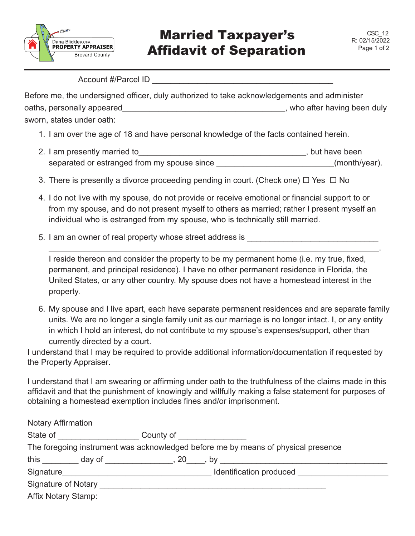

Account #/Parcel ID \_\_\_\_\_\_\_\_\_\_\_\_\_\_\_\_\_\_\_\_\_\_\_\_\_\_\_\_\_\_\_\_\_\_\_\_\_\_\_\_

Before me, the undersigned officer, duly authorized to take acknowledgements and administer oaths, personally appeared **the entity of the entity of the entity of the entity of the entity of the entity of the entity of the entity of the entity of the entity of the entity of the entity of the entity of the entity o** sworn, states under oath:

- 1. I am over the age of 18 and have personal knowledge of the facts contained herein.
- separated or estranged from my spouse since \_\_\_\_\_\_\_\_\_\_\_\_\_\_\_\_\_\_\_\_\_\_\_\_\_\_(month/year). 2. I am presently married to\_\_\_\_\_\_\_\_\_\_\_\_\_\_\_\_\_\_\_\_\_\_\_\_\_\_\_\_\_\_\_\_\_\_\_\_\_, but have been
- 3. There is presently a divorce proceeding pending in court. (Check one)  $\Box$  Yes  $\Box$  No
- 4. I do not live with my spouse, do not provide or receive emotional or financial support to or from my spouse, and do not present myself to others as married; rather I present myself an individual who is estranged from my spouse, who is technically still married.
- 5. I am an owner of real property whose street address is

I reside thereon and consider the property to be my permanent home (i.e. my true, fixed, permanent, and principal residence). I have no other permanent residence in Florida, the United States, or any other country. My spouse does not have a homestead interest in the property.

\_\_\_\_\_\_\_\_\_\_\_\_\_\_\_\_\_\_\_\_\_\_\_\_\_\_\_\_\_\_\_\_\_\_\_\_\_\_\_\_\_\_\_\_\_\_\_\_\_\_\_\_\_\_\_\_\_\_\_\_\_\_\_\_\_\_\_\_\_\_\_\_\_.

6. My spouse and I live apart, each have separate permanent residences and are separate family units. We are no longer a single family unit as our marriage is no longer intact. I, or any entity in which I hold an interest, do not contribute to my spouse's expenses/support, other than currently directed by a court.

I understand that I may be required to provide additional information/documentation if requested by the Property Appraiser.

I understand that I am swearing or affirming under oath to the truthfulness of the claims made in this affidavit and that the punishment of knowingly and willfully making a false statement for purposes of obtaining a homestead exemption includes fines and/or imprisonment.

| <b>Notary Affirmation</b>                                                         |                                                                  |  |                         |
|-----------------------------------------------------------------------------------|------------------------------------------------------------------|--|-------------------------|
|                                                                                   | State of the state of the state of<br>County of <u>County of</u> |  |                         |
| The foregoing instrument was acknowledged before me by means of physical presence |                                                                  |  |                         |
| this                                                                              | $day of$ , $20$ ,                                                |  | $\mathsf{b}\mathsf{v}$  |
| Signature                                                                         |                                                                  |  | Identification produced |
| Signature of Notary ___                                                           |                                                                  |  |                         |
| <b>Affix Notary Stamp:</b>                                                        |                                                                  |  |                         |